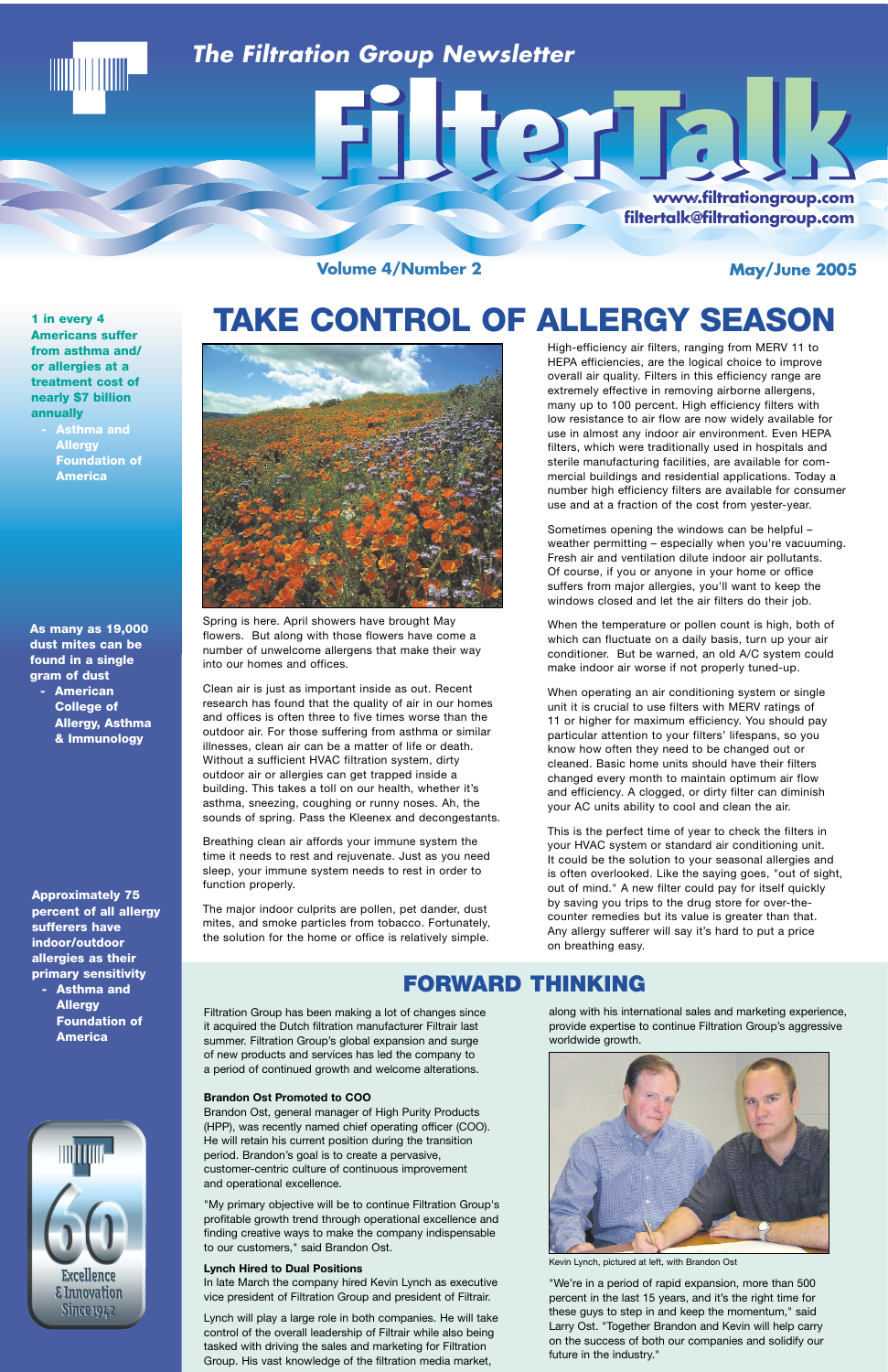**Volume 4/Number 2** 

May/June 2005

## *The Filtration Group Newsletter*

**www.filtrationgroup.com www.filtrationgroup w.filtrationgroup.com filtertalk@filtrationgroup.c filtertalk@filtrationgroup.com ltertalk@filtrationgro tertalk@filtrationgroup.comk@filtrationgroup.com**

E P.

**Approximately 75 percent of all allergy sufferers have indoor/outdoor allergies as their primary sensitivity - Asthma and**

**Allergy Foundation of America**

**As many as 19,000 dust mites can be found in a single gram of dust - American**

**College of Allergy, Asthma & Immunology**

## **FORWARD THINKING**



# **TAKE CONTROL OF ALLERGY SEASON**



along with his international sales and marketing experience, provide expertise to continue Filtration Group's aggressive worldwide growth.



Kevin Lynch, pictured at left, with Brandon Ost

"We're in a period of rapid expansion, more than 500 percent in the last 15 years, and it's the right time for these guys to step in and keep the momentum," said Larry Ost. "Together Brandon and Kevin will help carry on the success of both our companies and solidify our future in the industry."

Filtration Group has been making a lot of changes since it acquired the Dutch filtration manufacturer Filtrair last summer. Filtration Group's global expansion and surge of new products and services has led the company to a period of continued growth and welcome alterations.

#### **Brandon Ost Promoted to COO**

Brandon Ost, general manager of High Purity Products (HPP), was recently named chief operating officer (COO). He will retain his current position during the transition period. Brandon's goal is to create a pervasive, customer-centric culture of continuous improvement and operational excellence.

"My primary objective will be to continue Filtration Group's profitable growth trend through operational excellence and finding creative ways to make the company indispensable to our customers," said Brandon Ost.

### **Lynch Hired to Dual Positions**

In late March the company hired Kevin Lynch as executive vice president of Filtration Group and president of Filtrair.

Lynch will play a large role in both companies. He will take control of the overall leadership of Filtrair while also being tasked with driving the sales and marketing for Filtration Group. His vast knowledge of the filtration media market,

**1 in every 4 Americans suffer from asthma and/ or allergies at a treatment cost of nearly \$7 billion annually**

> **- Asthma and Allergy Foundation of America**

High-efficiency air filters, ranging from MERV 11 to HEPA efficiencies, are the logical choice to improve overall air quality. Filters in this efficiency range are extremely effective in removing airborne allergens, many up to 100 percent. High efficiency filters with low resistance to air flow are now widely available for use in almost any indoor air environment. Even HEPA filters, which were traditionally used in hospitals and sterile manufacturing facilities, are available for commercial buildings and residential applications. Today a number high efficiency filters are available for consumer use and at a fraction of the cost from yester-year.

Sometimes opening the windows can be helpful – weather permitting – especially when you're vacuuming. Fresh air and ventilation dilute indoor air pollutants. Of course, if you or anyone in your home or office suffers from major allergies, you'll want to keep the windows closed and let the air filters do their job.

When the temperature or pollen count is high, both of which can fluctuate on a daily basis, turn up your air conditioner. But be warned, an old A/C system could make indoor air worse if not properly tuned-up.

When operating an air conditioning system or single unit it is crucial to use filters with MERV ratings of 11 or higher for maximum efficiency. You should pay particular attention to your filters' lifespans, so you know how often they need to be changed out or cleaned. Basic home units should have their filters changed every month to maintain optimum air flow and efficiency. A clogged, or dirty filter can diminish your AC units ability to cool and clean the air.

This is the perfect time of year to check the filters in your HVAC system or standard air conditioning unit. It could be the solution to your seasonal allergies and is often overlooked. Like the saying goes, "out of sight, out of mind." A new filter could pay for itself quickly by saving you trips to the drug store for over-thecounter remedies but its value is greater than that. Any allergy sufferer will say it's hard to put a price on breathing easy.

Spring is here. April showers have brought May flowers. But along with those flowers have come a number of unwelcome allergens that make their way into our homes and offices.

Clean air is just as important inside as out. Recent research has found that the quality of air in our homes and offices is often three to five times worse than the outdoor air. For those suffering from asthma or similar illnesses, clean air can be a matter of life or death. Without a sufficient HVAC filtration system, dirty outdoor air or allergies can get trapped inside a building. This takes a toll on our health, whether it's asthma, sneezing, coughing or runny noses. Ah, the sounds of spring. Pass the Kleenex and decongestants.

Breathing clean air affords your immune system the time it needs to rest and rejuvenate. Just as you need sleep, your immune system needs to rest in order to function properly.

The major indoor culprits are pollen, pet dander, dust mites, and smoke particles from tobacco. Fortunately, the solution for the home or office is relatively simple.